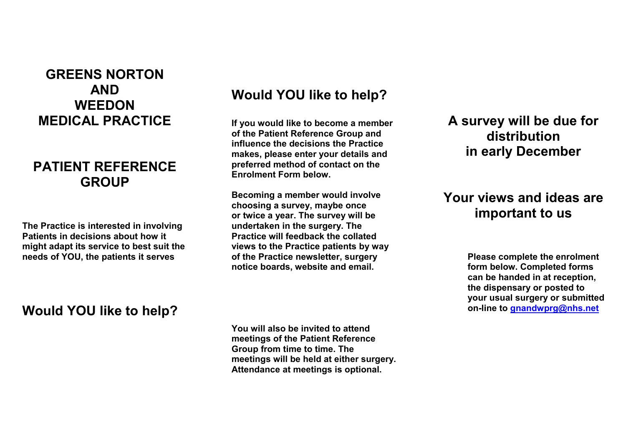## **GREENS NORTON AND WEEDON MEDICAL PRACTICE**

#### **PATIENT REFERENCE GROUP**

**The Practice is interested in involving Patients in decisions about how it might adapt its service to best suit the needs of YOU, the patients it serves** 

### **Would YOU like to help?**

# **Would YOU like to help?**

 **If you would like to become a member of the Patient Reference Group and influence the decisions the Practice makes, please enter your details and preferred method of contact on the Enrolment Form below.** 

 **or twice a year. The survey will be views to the Practice patients by way Becoming a member would involve choosing a survey, maybe once undertaken in the surgery. The Practice will feedback the collated of the Practice newsletter, surgery notice boards, website and email.** 

 **A survey will be due for distribution in early December** 

## **important to us Your views and ideas are**

 **on-line to [gnandwprg@nhs.net](mailto:gnandwprg@nhs.net) Please complete the enrolment form below. Completed forms can be handed in at reception, the dispensary or posted to your usual surgery or submitted** 

**You will also be invited to attend meetings of the Patient Reference Group from time to time. The meetings will be held at either surgery. Attendance at meetings is optional.**